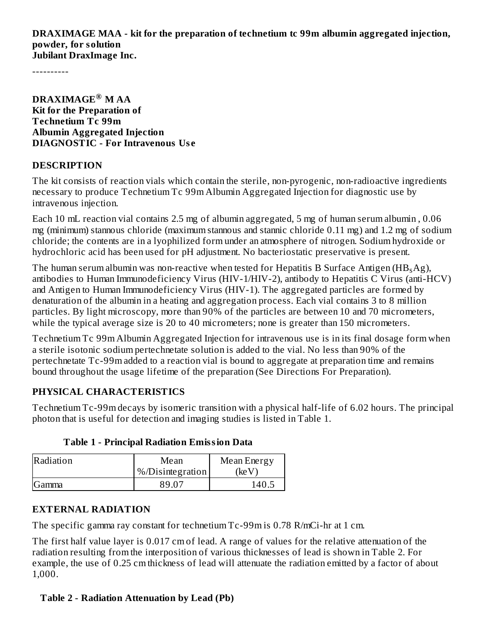**DRAXIMAGE MAA - kit for the preparation of technetium tc 99m albumin aggregated injection, powder, for solution Jubilant DraxImage Inc.**

----------

**DRAXIMAGE M AA ® Kit for the Preparation of Technetium Tc 99m Albumin Aggregated Injection DIAGNOSTIC - For Intravenous Us e**

#### **DESCRIPTION**

The kit consists of reaction vials which contain the sterile, non-pyrogenic, non-radioactive ingredients necessary to produce Technetium Tc 99m Albumin Aggregated Injection for diagnostic use by intravenous injection.

Each 10 mL reaction vial contains 2.5 mg of albumin aggregated, 5 mg of human serum albumin , 0.06 mg (minimum) stannous chloride (maximum stannous and stannic chloride 0.11 mg) and 1.2 mg of sodium chloride; the contents are in a lyophilized form under an atmosphere of nitrogen. Sodium hydroxide or hydrochloric acid has been used for pH adjustment. No bacteriostatic preservative is present.

The human serum albumin was non-reactive when tested for Hepatitis B Surface Antigen (HB $_{\rm s}$ Ag), antibodies to Human Immunodeficiency Virus (HIV-1/HIV-2), antibody to Hepatitis C Virus (anti-HCV) and Antigen to Human Immunodeficiency Virus (HIV-1). The aggregated particles are formed by denaturation of the albumin in a heating and aggregation process. Each vial contains 3 to 8 million particles. By light microscopy, more than 90% of the particles are between 10 and 70 micrometers, while the typical average size is 20 to 40 micrometers; none is greater than 150 micrometers.

Technetium Tc 99m Albumin Aggregated Injection for intravenous use is in its final dosage form when a sterile isotonic sodium pertechnetate solution is added to the vial. No less than 90% of the pertechnetate Tc-99m added to a reaction vial is bound to aggregate at preparation time and remains bound throughout the usage lifetime of the preparation (See Directions For Preparation).

#### **PHYSICAL CHARACTERISTICS**

Technetium Tc-99m decays by isomeric transition with a physical half-life of 6.02 hours. The principal photon that is useful for detection and imaging studies is listed in Table 1.

| Radiation | Mean                       | Mean Energy |  |
|-----------|----------------------------|-------------|--|
|           | $\sqrt{8/D}$ isintegration | (ke V       |  |
| Gamma     | 89.07                      | 140.5       |  |

#### **Table 1 - Principal Radiation Emission Data**

#### **EXTERNAL RADIATION**

The specific gamma ray constant for technetium Tc-99m is 0.78 R/mCi-hr at 1 cm.

The first half value layer is 0.017 cm of lead. A range of values for the relative attenuation of the radiation resulting from the interposition of various thicknesses of lead is shown in Table 2. For example, the use of 0.25 cm thickness of lead will attenuate the radiation emitted by a factor of about 1,000.

#### **Table 2 - Radiation Attenuation by Lead (Pb)**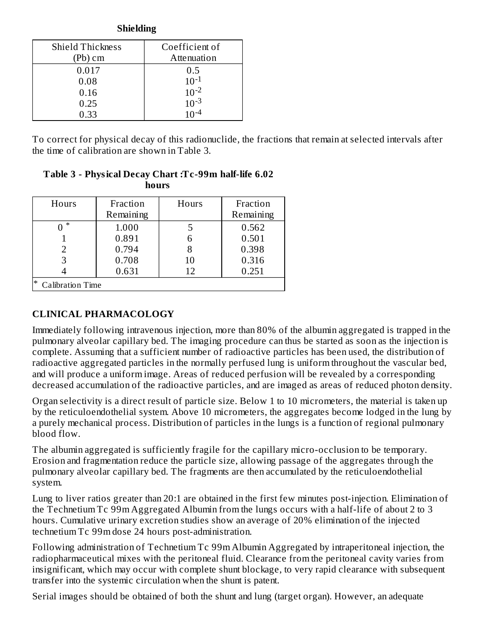#### **Shielding**

| <b>Shield Thickness</b> | Coefficient of |
|-------------------------|----------------|
| (Pb) cm                 | Attenuation    |
| 0.017                   | 0.5            |
| 0.08                    | $10^{-1}$      |
| 0.16                    | $10^{-2}$      |
| 0.25                    | $10^{-3}$      |
| 0.33                    |                |

To correct for physical decay of this radionuclide, the fractions that remain at selected intervals after the time of calibration are shown in Table 3.

#### **Table 3 - Physical Decay Chart :Tc-99m half-life 6.02 hours**

| Hours                             | Fraction<br>Remaining | Hours | Fraction<br>Remaining |
|-----------------------------------|-----------------------|-------|-----------------------|
| $\ast$                            | 1.000                 |       | 0.562                 |
|                                   | 0.891                 | 6     | 0.501                 |
|                                   | 0.794                 |       | 0.398                 |
| 3                                 | 0.708                 | 10    | 0.316                 |
|                                   | 0.631                 | 12    | 0.251                 |
| $\ast$<br><b>Calibration Time</b> |                       |       |                       |

# **CLINICAL PHARMACOLOGY**

Immediately following intravenous injection, more than 80% of the albumin aggregated is trapped in the pulmonary alveolar capillary bed. The imaging procedure can thus be started as soon as the injection is complete. Assuming that a sufficient number of radioactive particles has been used, the distribution of radioactive aggregated particles in the normally perfused lung is uniform throughout the vascular bed, and will produce a uniform image. Areas of reduced perfusion will be revealed by a corresponding decreased accumulation of the radioactive particles, and are imaged as areas of reduced photon density.

Organ selectivity is a direct result of particle size. Below 1 to 10 micrometers, the material is taken up by the reticuloendothelial system. Above 10 micrometers, the aggregates become lodged in the lung by a purely mechanical process. Distribution of particles in the lungs is a function of regional pulmonary blood flow.

The albumin aggregated is sufficiently fragile for the capillary micro-occlusion to be temporary. Erosion and fragmentation reduce the particle size, allowing passage of the aggregates through the pulmonary alveolar capillary bed. The fragments are then accumulated by the reticuloendothelial system.

Lung to liver ratios greater than 20:1 are obtained in the first few minutes post-injection. Elimination of the Technetium Tc 99m Aggregated Albumin from the lungs occurs with a half-life of about 2 to 3 hours. Cumulative urinary excretion studies show an average of 20% elimination of the injected technetium Tc 99m dose 24 hours post-administration.

Following administration of Technetium Tc 99m Albumin Aggregated by intraperitoneal injection, the radiopharmaceutical mixes with the peritoneal fluid. Clearance from the peritoneal cavity varies from insignificant, which may occur with complete shunt blockage, to very rapid clearance with subsequent transfer into the systemic circulation when the shunt is patent.

Serial images should be obtained of both the shunt and lung (target organ). However, an adequate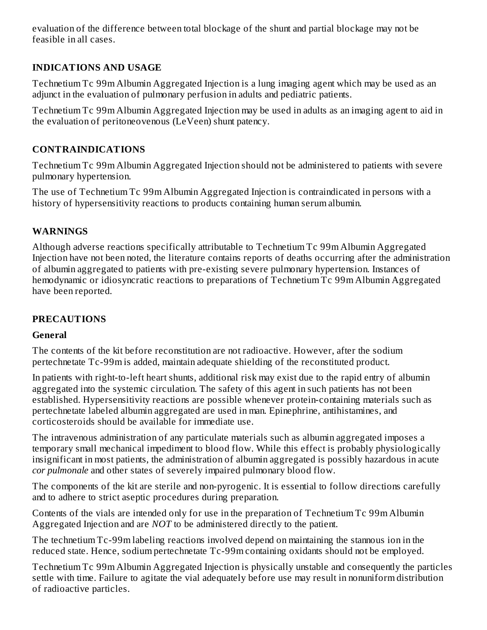evaluation of the difference between total blockage of the shunt and partial blockage may not be feasible in all cases.

# **INDICATIONS AND USAGE**

Technetium Tc 99m Albumin Aggregated Injection is a lung imaging agent which may be used as an adjunct in the evaluation of pulmonary perfusion in adults and pediatric patients.

Technetium Tc 99m Albumin Aggregated Injection may be used in adults as an imaging agent to aid in the evaluation of peritoneovenous (LeVeen) shunt patency.

## **CONTRAINDICATIONS**

Technetium Tc 99m Albumin Aggregated Injection should not be administered to patients with severe pulmonary hypertension.

The use of Technetium Tc 99m Albumin Aggregated Injection is contraindicated in persons with a history of hypersensitivity reactions to products containing human serum albumin.

### **WARNINGS**

Although adverse reactions specifically attributable to Technetium Tc 99m Albumin Aggregated Injection have not been noted, the literature contains reports of deaths occurring after the administration of albumin aggregated to patients with pre-existing severe pulmonary hypertension. Instances of hemodynamic or idiosyncratic reactions to preparations of Technetium Tc 99m Albumin Aggregated have been reported.

### **PRECAUTIONS**

#### **General**

The contents of the kit before reconstitution are not radioactive. However, after the sodium pertechnetate Tc-99m is added, maintain adequate shielding of the reconstituted product.

In patients with right-to-left heart shunts, additional risk may exist due to the rapid entry of albumin aggregated into the systemic circulation. The safety of this agent in such patients has not been established. Hypersensitivity reactions are possible whenever protein-containing materials such as pertechnetate labeled albumin aggregated are used in man. Epinephrine, antihistamines, and corticosteroids should be available for immediate use.

The intravenous administration of any particulate materials such as albumin aggregated imposes a temporary small mechanical impediment to blood flow. While this effect is probably physiologically insignificant in most patients, the administration of albumin aggregated is possibly hazardous in acute *cor pulmonale* and other states of severely impaired pulmonary blood flow.

The components of the kit are sterile and non-pyrogenic. It is essential to follow directions carefully and to adhere to strict aseptic procedures during preparation.

Contents of the vials are intended only for use in the preparation of Technetium Tc 99m Albumin Aggregated Injection and are *NOT* to be administered directly to the patient.

The technetium Tc-99m labeling reactions involved depend on maintaining the stannous ion in the reduced state. Hence, sodium pertechnetate Tc-99m containing oxidants should not be employed.

Technetium Tc 99m Albumin Aggregated Injection is physically unstable and consequently the particles settle with time. Failure to agitate the vial adequately before use may result in nonuniform distribution of radioactive particles.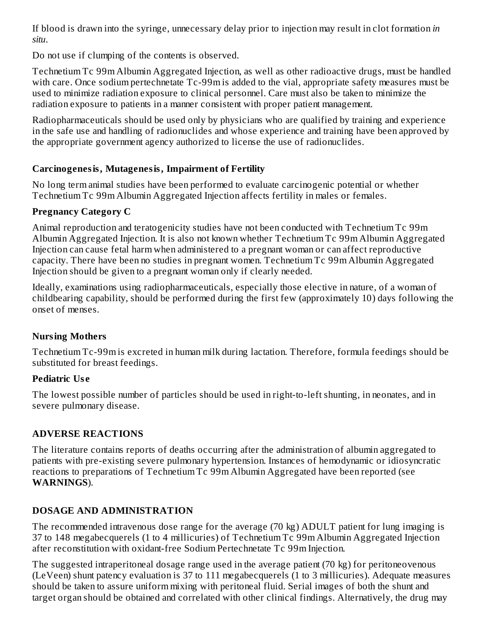If blood is drawn into the syringe, unnecessary delay prior to injection may result in clot formation *in situ*.

Do not use if clumping of the contents is observed.

Technetium Tc 99m Albumin Aggregated Injection, as well as other radioactive drugs, must be handled with care. Once sodium pertechnetate Tc-99m is added to the vial, appropriate safety measures must be used to minimize radiation exposure to clinical personnel. Care must also be taken to minimize the radiation exposure to patients in a manner consistent with proper patient management.

Radiopharmaceuticals should be used only by physicians who are qualified by training and experience in the safe use and handling of radionuclides and whose experience and training have been approved by the appropriate government agency authorized to license the use of radionuclides.

### **Carcinogenesis, Mutagenesis, Impairment of Fertility**

No long term animal studies have been performed to evaluate carcinogenic potential or whether Technetium Tc 99m Albumin Aggregated Injection affects fertility in males or females.

#### **Pregnancy Category C**

Animal reproduction and teratogenicity studies have not been conducted with Technetium Tc 99m Albumin Aggregated Injection. It is also not known whether Technetium Tc 99m Albumin Aggregated Injection can cause fetal harm when administered to a pregnant woman or can affect reproductive capacity. There have been no studies in pregnant women. Technetium Tc 99m Albumin Aggregated Injection should be given to a pregnant woman only if clearly needed.

Ideally, examinations using radiopharmaceuticals, especially those elective in nature, of a woman of childbearing capability, should be performed during the first few (approximately 10) days following the onset of menses.

### **Nursing Mothers**

Technetium Tc-99m is excreted in human milk during lactation. Therefore, formula feedings should be substituted for breast feedings.

### **Pediatric Us e**

The lowest possible number of particles should be used in right-to-left shunting, in neonates, and in severe pulmonary disease.

### **ADVERSE REACTIONS**

The literature contains reports of deaths occurring after the administration of albumin aggregated to patients with pre-existing severe pulmonary hypertension. Instances of hemodynamic or idiosyncratic reactions to preparations of Technetium Tc 99m Albumin Aggregated have been reported (see **WARNINGS**).

### **DOSAGE AND ADMINISTRATION**

The recommended intravenous dose range for the average (70 kg) ADULT patient for lung imaging is 37 to 148 megabecquerels (1 to 4 millicuries) of Technetium Tc 99m Albumin Aggregated Injection after reconstitution with oxidant-free Sodium Pertechnetate Tc 99m Injection.

The suggested intraperitoneal dosage range used in the average patient (70 kg) for peritoneovenous (LeVeen) shunt patency evaluation is 37 to 111 megabecquerels (1 to 3 millicuries). Adequate measures should be taken to assure uniform mixing with peritoneal fluid. Serial images of both the shunt and target organ should be obtained and correlated with other clinical findings. Alternatively, the drug may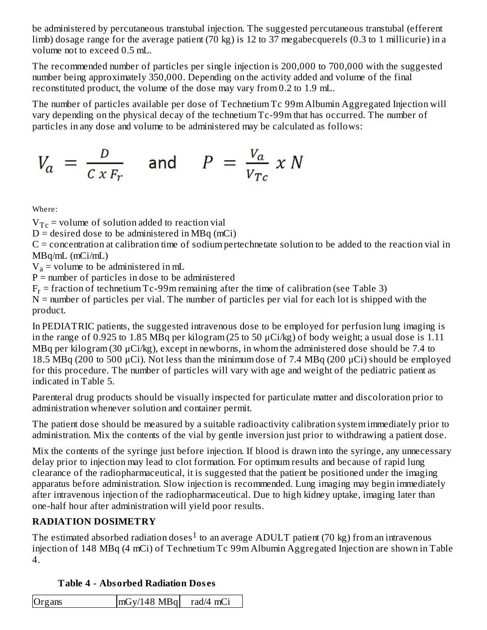be administered by percutaneous transtubal injection. The suggested percutaneous transtubal (efferent limb) dosage range for the average patient (70 kg) is 12 to 37 megabecquerels (0.3 to 1 millicurie) in a volume not to exceed 0.5 mL.

The recommended number of particles per single injection is 200,000 to 700,000 with the suggested number being approximately 350,000. Depending on the activity added and volume of the final reconstituted product, the volume of the dose may vary from 0.2 to 1.9 mL.

The number of particles available per dose of Technetium Tc 99m Albumin Aggregated Injection will vary depending on the physical decay of the technetium Tc-99m that has occurred. The number of particles in any dose and volume to be administered may be calculated as follows:

$$
V_a = \frac{D}{C x F_r} \quad \text{and} \quad P = \frac{V_a}{V_{Tc}} x N
$$

Where:

 $V_{Tc}$  = volume of solution added to reaction vial

 $D =$  desired dose to be administered in MBq (mCi)

 $C =$  concentration at calibration time of sodium pertechnetate solution to be added to the reaction vial in MBq/mL (mCi/mL)

 $V_a$  = volume to be administered in mL

 $P =$  number of particles in dose to be administered

 $F_r$  = fraction of technetium Tc-99m remaining after the time of calibration (see Table 3)

 $N$  = number of particles per vial. The number of particles per vial for each lot is shipped with the product.

In PEDIATRIC patients, the suggested intravenous dose to be employed for perfusion lung imaging is in the range of 0.925 to 1.85 MBq per kilogram (25 to 50 μCi/kg) of body weight; a usual dose is 1.11 MBq per kilogram (30 μCi/kg), except in newborns, in whom the administered dose should be 7.4 to 18.5 MBq (200 to 500 μCi). Not less than the minimum dose of 7.4 MBq (200 μCi) should be employed for this procedure. The number of particles will vary with age and weight of the pediatric patient as indicated in Table 5.

Parenteral drug products should be visually inspected for particulate matter and discoloration prior to administration whenever solution and container permit.

The patient dose should be measured by a suitable radioactivity calibration system immediately prior to administration. Mix the contents of the vial by gentle inversion just prior to withdrawing a patient dose.

Mix the contents of the syringe just before injection. If blood is drawn into the syringe, any unnecessary delay prior to injection may lead to clot formation. For optimum results and because of rapid lung clearance of the radiopharmaceutical, it is suggested that the patient be positioned under the imaging apparatus before administration. Slow injection is recommended. Lung imaging may begin immediately after intravenous injection of the radiopharmaceutical. Due to high kidney uptake, imaging later than one-half hour after administration will yield poor results.

# **RADIATION DOSIMETRY**

The estimated absorbed radiation doses $^1$  to an average ADULT patient (70 kg) from an intravenous injection of 148 MBq (4 mCi) of Technetium Tc 99m Albumin Aggregated Injection are shown in Table 4.

### **Table 4 - Absorbed Radiation Dos es**

| $mGy/148$ MBq<br>Organs<br>rad/4 mCi |
|--------------------------------------|
|--------------------------------------|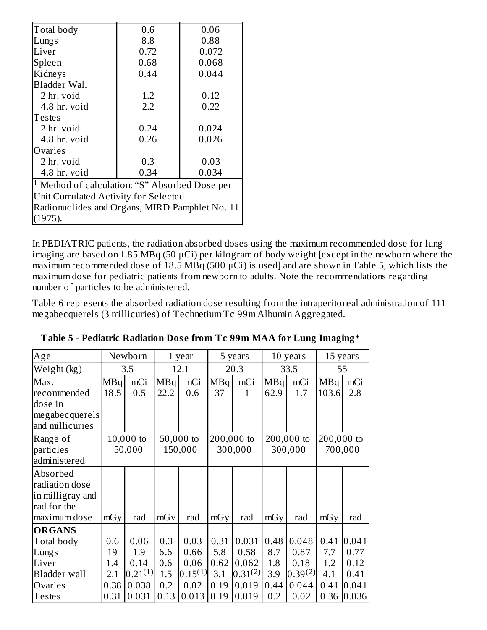| Total body                                                | 0.6  | 0.06  |  |  |  |  |
|-----------------------------------------------------------|------|-------|--|--|--|--|
| Lungs                                                     | 8.8  | 0.88  |  |  |  |  |
| Liver                                                     | 0.72 | 0.072 |  |  |  |  |
| Spleen                                                    | 0.68 | 0.068 |  |  |  |  |
| Kidneys                                                   | 0.44 | 0.044 |  |  |  |  |
| Bladder Wall                                              |      |       |  |  |  |  |
| 2 hr. void                                                | 1.2  | 0.12  |  |  |  |  |
| 4.8 hr. void                                              | 2.2  | 0.22  |  |  |  |  |
| Testes                                                    |      |       |  |  |  |  |
| 2 hr. void                                                | 0.24 | 0.024 |  |  |  |  |
| 4.8 hr. void                                              | 0.26 | 0.026 |  |  |  |  |
| Ovaries                                                   |      |       |  |  |  |  |
| 2 hr. void                                                | 0.3  | 0.03  |  |  |  |  |
| 4.8 hr. void                                              | 0.34 | 0.034 |  |  |  |  |
| <sup>1</sup> Method of calculation: "S" Absorbed Dose per |      |       |  |  |  |  |
| Unit Cumulated Activity for Selected                      |      |       |  |  |  |  |
| Radionuclides and Organs, MIRD Pamphlet No. 11            |      |       |  |  |  |  |
| (1975).                                                   |      |       |  |  |  |  |

In PEDIATRIC patients, the radiation absorbed doses using the maximum recommended dose for lung imaging are based on 1.85 MBq (50 μCi) per kilogram of body weight [except in the newborn where the maximum recommended dose of 18.5 MBq (500 μCi) is used] and are shown in Table 5, which lists the maximum dose for pediatric patients from newborn to adults. Note the recommendations regarding number of particles to be administered.

Table 6 represents the absorbed radiation dose resulting from the intraperitoneal administration of 111 megabecquerels (3 millicuries) of Technetium Tc 99m Albumin Aggregated.

| Age                                                                           |                     | Newborn                        |                    | 1 year                        |                     | 5 years                        |                    | 10 years                 |                     | 15 years               |
|-------------------------------------------------------------------------------|---------------------|--------------------------------|--------------------|-------------------------------|---------------------|--------------------------------|--------------------|--------------------------|---------------------|------------------------|
| Weight (kg)                                                                   |                     | 3.5                            |                    | 12.1                          |                     | 20.3                           |                    | 33.5                     |                     | 55                     |
| Max.<br>recommended                                                           | MBq<br>18.5         | mCi<br>0.5                     | MBq<br>22.2        | mCi<br>0.6                    | MBq<br>37           | mCi<br>$\mathbf{1}$            | MBq<br>62.9        | mCi<br>1.7               | MBq<br>103.6        | mCi<br>2.8             |
| dose in<br>megabecquerels<br>and millicuries                                  |                     |                                |                    |                               |                     |                                |                    |                          |                     |                        |
| Range of<br>particles<br>administered                                         |                     | $10,000$ to<br>50,000          |                    | 50,000 to<br>150,000          |                     | 200,000 to<br>300,000          |                    | 200,000 to<br>300,000    | 200,000 to          | 700,000                |
| Absorbed<br>radiation dose<br>in milligray and<br>rad for the<br>maximum dose | mGy                 | rad                            | mGy                | rad                           | mGy                 | rad                            | mGy                | rad                      | mGy                 | rad                    |
| <b>ORGANS</b><br>Total body<br>Lungs<br>Liver                                 | 0.6<br>19<br>1.4    | 0.06<br>1.9<br>0.14            | 0.3<br>6.6<br>0.6  | 0.03<br>0.66<br>0.06          | 0.31<br>5.8<br>0.62 | 0.031<br>0.58<br>0.062         | 0.48<br>8.7<br>1.8 | 0.048<br>0.87<br>0.18    | 0.41<br>7.7<br>1.2  | 0.041<br>0.77<br>0.12  |
| <b>Bladder</b> wall<br>Ovaries<br><b>Testes</b>                               | 2.1<br>0.38<br>0.31 | $0.21^{(1)}$<br>0.038<br>0.031 | 1.5<br>0.2<br>0.13 | $0.15^{(1)}$<br>0.02<br>0.013 | 3.1<br>0.19<br>0.19 | $0.31^{(2)}$<br>0.019<br>0.019 | 3.9<br>0.44<br>0.2 | 0.39(2)<br>0.044<br>0.02 | 4.1<br>0.41<br>0.36 | 0.41<br>0.041<br>0.036 |

**Table 5 - Pediatric Radiation Dos e from Tc 99m MAA for Lung Imaging\***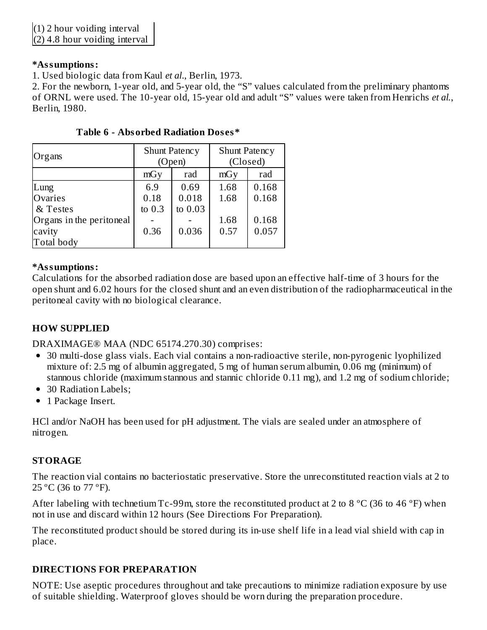(2) 4.8 hour voiding interval

#### **\*Assumptions:**

1. Used biologic data from Kaul *et al*., Berlin, 1973.

2. For the newborn, 1-year old, and 5-year old, the "S" values calculated from the preliminary phantoms of ORNL were used. The 10-year old, 15-year old and adult "S" values were taken from Henrichs *et al.*, Berlin, 1980.

| Organs                   |          | <b>Shunt Patency</b><br>(Open) | <b>Shunt Patency</b><br>(Closed) |       |  |
|--------------------------|----------|--------------------------------|----------------------------------|-------|--|
|                          | mGy      | rad                            | mGy                              | rad   |  |
| Lung                     | 6.9      | 0.69                           | 1.68                             | 0.168 |  |
| Ovaries                  | 0.18     | 0.018                          | 1.68                             | 0.168 |  |
| & Testes                 | to $0.3$ | to 0.03                        |                                  |       |  |
| Organs in the peritoneal |          |                                | 1.68                             | 0.168 |  |
| cavity                   | 0.36     | 0.036                          | 0.57                             | 0.057 |  |
| Total body               |          |                                |                                  |       |  |

**Table 6 - Absorbed Radiation Dos es\***

#### **\*Assumptions:**

Calculations for the absorbed radiation dose are based upon an effective half-time of 3 hours for the open shunt and 6.02 hours for the closed shunt and an even distribution of the radiopharmaceutical in the peritoneal cavity with no biological clearance.

### **HOW SUPPLIED**

DRAXIMAGE® MAA (NDC 65174.270.30) comprises:

- 30 multi-dose glass vials. Each vial contains a non-radioactive sterile, non-pyrogenic lyophilized mixture of: 2.5 mg of albumin aggregated, 5 mg of human serum albumin, 0.06 mg (minimum) of stannous chloride (maximum stannous and stannic chloride 0.11 mg), and 1.2 mg of sodium chloride;
- 30 Radiation Labels;
- 1 Package Insert.

HCl and/or NaOH has been used for pH adjustment. The vials are sealed under an atmosphere of nitrogen.

### **STORAGE**

The reaction vial contains no bacteriostatic preservative. Store the unreconstituted reaction vials at 2 to 25 °C (36 to 77 °F).

After labeling with technetium Tc-99m, store the reconstituted product at 2 to 8  $^{\circ}$ C (36 to 46  $^{\circ}$ F) when not in use and discard within 12 hours (See Directions For Preparation).

The reconstituted product should be stored during its in-use shelf life in a lead vial shield with cap in place.

### **DIRECTIONS FOR PREPARATION**

NOTE: Use aseptic procedures throughout and take precautions to minimize radiation exposure by use of suitable shielding. Waterproof gloves should be worn during the preparation procedure.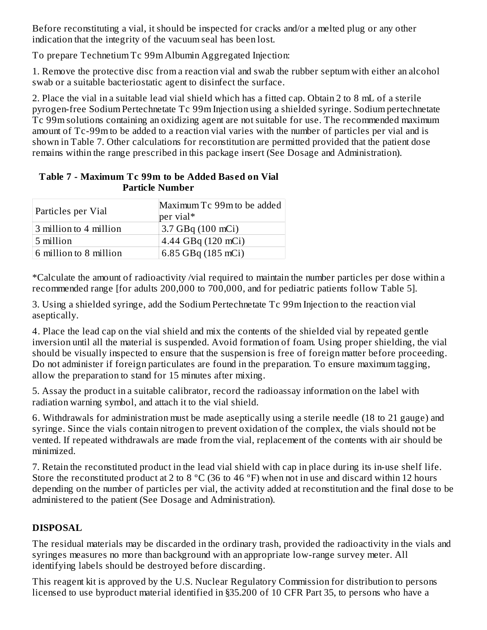Before reconstituting a vial, it should be inspected for cracks and/or a melted plug or any other indication that the integrity of the vacuum seal has been lost.

To prepare Technetium Tc 99m Albumin Aggregated Injection:

1. Remove the protective disc from a reaction vial and swab the rubber septum with either an alcohol swab or a suitable bacteriostatic agent to disinfect the surface.

2. Place the vial in a suitable lead vial shield which has a fitted cap. Obtain 2 to 8 mL of a sterile pyrogen-free Sodium Pertechnetate Tc 99m Injection using a shielded syringe. Sodium pertechnetate Tc 99m solutions containing an oxidizing agent are not suitable for use. The recommended maximum amount of Tc-99m to be added to a reaction vial varies with the number of particles per vial and is shown in Table 7. Other calculations for reconstitution are permitted provided that the patient dose remains within the range prescribed in this package insert (See Dosage and Administration).

| Particles per Vial     | Maximum Tc 99m to be added<br>per vial* |
|------------------------|-----------------------------------------|
| 3 million to 4 million | 3.7 GBq (100 mCi)                       |
| 5 million              | 4.44 GBq (120 mCi)                      |
| 6 million to 8 million | 6.85 GBq (185 mCi)                      |

#### **Table 7 - Maximum Tc 99m to be Added Bas ed on Vial Particle Number**

\*Calculate the amount of radioactivity /vial required to maintain the number particles per dose within a recommended range [for adults 200,000 to 700,000, and for pediatric patients follow Table 5].

3. Using a shielded syringe, add the Sodium Pertechnetate Tc 99m Injection to the reaction vial aseptically.

4. Place the lead cap on the vial shield and mix the contents of the shielded vial by repeated gentle inversion until all the material is suspended. Avoid formation of foam. Using proper shielding, the vial should be visually inspected to ensure that the suspension is free of foreign matter before proceeding. Do not administer if foreign particulates are found in the preparation. To ensure maximum tagging, allow the preparation to stand for 15 minutes after mixing.

5. Assay the product in a suitable calibrator, record the radioassay information on the label with radiation warning symbol, and attach it to the vial shield.

6. Withdrawals for administration must be made aseptically using a sterile needle (18 to 21 gauge) and syringe. Since the vials contain nitrogen to prevent oxidation of the complex, the vials should not be vented. If repeated withdrawals are made from the vial, replacement of the contents with air should be minimized.

7. Retain the reconstituted product in the lead vial shield with cap in place during its in-use shelf life. Store the reconstituted product at 2 to 8  $^{\circ}$ C (36 to 46  $^{\circ}$ F) when not in use and discard within 12 hours depending on the number of particles per vial, the activity added at reconstitution and the final dose to be administered to the patient (See Dosage and Administration).

# **DISPOSAL**

The residual materials may be discarded in the ordinary trash, provided the radioactivity in the vials and syringes measures no more than background with an appropriate low-range survey meter. All identifying labels should be destroyed before discarding.

This reagent kit is approved by the U.S. Nuclear Regulatory Commission for distribution to persons licensed to use byproduct material identified in §35.200 of 10 CFR Part 35, to persons who have a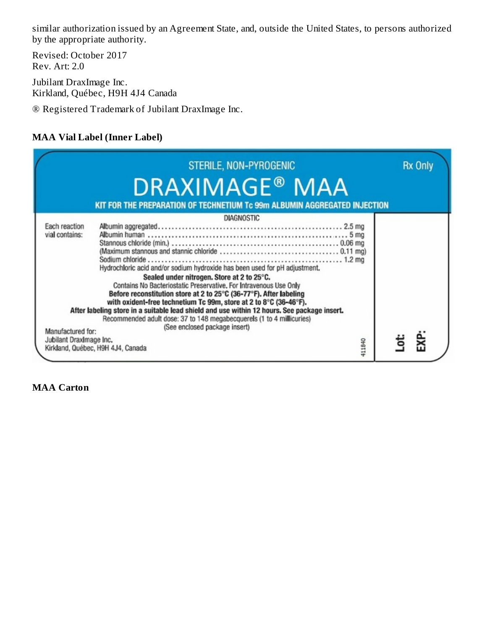similar authorization issued by an Agreement State, and, outside the United States, to persons authorized by the appropriate authority.

Revised: October 2017 Rev. Art: 2.0

Jubilant DraxImage Inc. Kirkland, Québec, H9H 4J4 Canada

® Registered Trademark of Jubilant DraxImage Inc.

# **MAA Vial Label (Inner Label)**

|                                                                                 | STERILE, NON-PYROGENIC                                                                                                                                                                                                                                                                                                                                                                                                                                                                                                                                                                 |        | <b>Rx Only</b> |
|---------------------------------------------------------------------------------|----------------------------------------------------------------------------------------------------------------------------------------------------------------------------------------------------------------------------------------------------------------------------------------------------------------------------------------------------------------------------------------------------------------------------------------------------------------------------------------------------------------------------------------------------------------------------------------|--------|----------------|
|                                                                                 | <b>DRAXIMAGE<sup>®</sup> MAA</b>                                                                                                                                                                                                                                                                                                                                                                                                                                                                                                                                                       |        |                |
|                                                                                 | KIT FOR THE PREPARATION OF TECHNETIUM Tc 99m ALBUMIN AGGREGATED INJECTION                                                                                                                                                                                                                                                                                                                                                                                                                                                                                                              |        |                |
|                                                                                 | <b>DIAGNOSTIC</b>                                                                                                                                                                                                                                                                                                                                                                                                                                                                                                                                                                      |        |                |
| Each reaction<br>vial contains:<br>Manufactured for:<br>Jubilant DraxImage Inc. | Hydrochloric acid and/or sodium hydroxide has been used for pH adjustment.<br>Sealed under nitrogen. Store at 2 to 25°C.<br>Contains No Bacteriostatic Preservative, For Intravenous Use Only<br>Before reconstitution store at 2 to 25°C (36-77°F). After labeling<br>with oxident-free technetium Tc 99m, store at 2 to 8°C (36-46°F).<br>After labeling store in a suitable lead shield and use within 12 hours. See package insert.<br>Recommended adult dose: 37 to 148 megabecquerels (1 to 4 millicuries)<br>(See enclosed package insert)<br>Kirkland, Québec, H9H 4J4, Canada | 411840 | EXP:           |

**MAA Carton**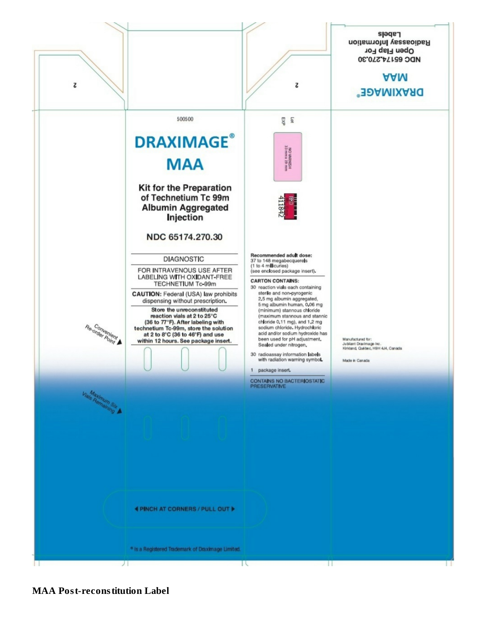

**MAA Post-reconstitution Label**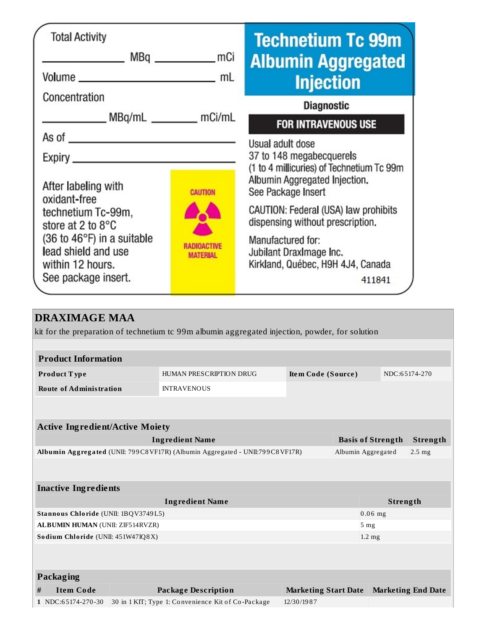| <b>Total Activity</b><br>MBq mCi<br>Volume mL                                                                                                                                                                                                                                                                                                                                                                                                                                     |                 | <b>Technetium Tc 99m</b><br><b>Albumin Aggregated</b><br><b>Injection</b>                                                       |
|-----------------------------------------------------------------------------------------------------------------------------------------------------------------------------------------------------------------------------------------------------------------------------------------------------------------------------------------------------------------------------------------------------------------------------------------------------------------------------------|-----------------|---------------------------------------------------------------------------------------------------------------------------------|
| Concentration<br>MBq/mL __________ mCi/mL                                                                                                                                                                                                                                                                                                                                                                                                                                         |                 | <b>Diagnostic</b><br><b>FOR INTRAVENOUS USE</b>                                                                                 |
| As of $\qquad \qquad$ $\qquad \qquad$ $\qquad$ $\qquad$ $\qquad$ $\qquad$ $\qquad$ $\qquad$ $\qquad$ $\qquad$ $\qquad$ $\qquad$ $\qquad$ $\qquad$ $\qquad$ $\qquad$ $\qquad$ $\qquad$ $\qquad$ $\qquad$ $\qquad$ $\qquad$ $\qquad$ $\qquad$ $\qquad$ $\qquad$ $\qquad$ $\qquad$ $\qquad$ $\qquad$ $\qquad$ $\qquad$ $\qquad$ $\qquad$ $\qquad$<br>Expiry_<br><u> 1989 - Johann Harry Barn, mars ar y brening ar y brening ar y brening ar y brening ar y brening ar y brening</u> |                 | Usual adult dose<br>37 to 148 megabecquerels<br>(1 to 4 millicuries) of Technetium Tc 99m                                       |
| After labeling with<br>oxidant-free<br>technetium Tc-99m,<br>store at 2 to $8^{\circ}$ C                                                                                                                                                                                                                                                                                                                                                                                          | <b>CAUTION</b>  | Albumin Aggregated Injection.<br>See Package Insert<br>CAUTION: Federal (USA) law prohibits<br>dispensing without prescription. |
| $(36 \text{ to } 46^{\circ}F)$ in a suitable<br>lead shield and use<br>within 12 hours.<br>See package insert.                                                                                                                                                                                                                                                                                                                                                                    | <b>MATERIAL</b> | Manufactured for:<br>Jubilant DraxImage Inc.<br>Kirkland, Québec, H9H 4J4, Canada<br>411841                                     |

| <b>DRAXIMAGE MAA</b>                    |                                                                                                 |                             |                    |                          |                           |
|-----------------------------------------|-------------------------------------------------------------------------------------------------|-----------------------------|--------------------|--------------------------|---------------------------|
|                                         | kit for the preparation of technetium to 99m albumin aggregated injection, powder, for solution |                             |                    |                          |                           |
|                                         |                                                                                                 |                             |                    |                          |                           |
| <b>Product Information</b>              |                                                                                                 |                             |                    |                          |                           |
| Product Type                            | HUMAN PRESCRIPTION DRUG                                                                         | Item Code (Source)          |                    | NDC:65174-270            |                           |
| <b>Route of Administration</b>          | <b>INTRAVENOUS</b>                                                                              |                             |                    |                          |                           |
|                                         |                                                                                                 |                             |                    |                          |                           |
|                                         |                                                                                                 |                             |                    |                          |                           |
| <b>Active Ingredient/Active Moiety</b>  |                                                                                                 |                             |                    |                          |                           |
|                                         | <b>Ingredient Name</b>                                                                          |                             |                    | <b>Basis of Strength</b> | Strength                  |
|                                         | Albumin Aggregated (UNII: 799C8VF17R) (Albumin Aggregated - UNII:799C8VF17R)                    |                             | Albumin Aggregated |                          | $2.5$ mg                  |
|                                         |                                                                                                 |                             |                    |                          |                           |
| <b>Inactive Ingredients</b>             |                                                                                                 |                             |                    |                          |                           |
|                                         | <b>Ingredient Name</b>                                                                          |                             |                    | Strength                 |                           |
| Stannous Chloride (UNII: 1BQV3749L5)    |                                                                                                 |                             |                    | $0.06$ mg                |                           |
| <b>ALBUMIN HUMAN (UNII: ZIF514RVZR)</b> |                                                                                                 |                             |                    | 5 <sub>mg</sub>          |                           |
| Sodium Chloride (UNII: 451W47IQ8X)      |                                                                                                 |                             |                    | $1.2 \text{ mg}$         |                           |
|                                         |                                                                                                 |                             |                    |                          |                           |
|                                         |                                                                                                 |                             |                    |                          |                           |
| <b>Packaging</b>                        |                                                                                                 |                             |                    |                          |                           |
|                                         |                                                                                                 |                             |                    |                          |                           |
| <b>Item Code</b><br>#                   | <b>Package Description</b>                                                                      | <b>Marketing Start Date</b> |                    |                          | <b>Marketing End Date</b> |